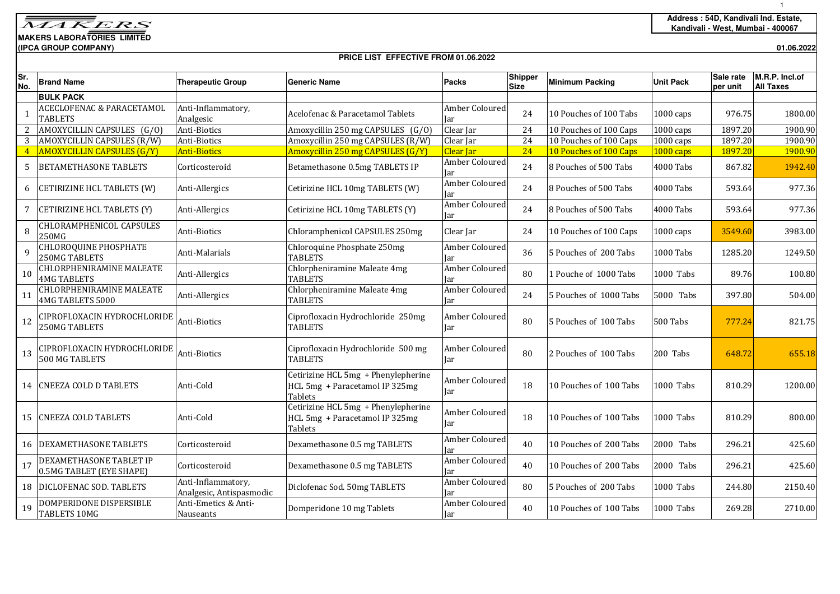**MAKERS LABORATORIES LIMITED(IPCA GROUP COMPANY)**

## **PRICE LIST EFFECTIVE FROM 01.06.2022**

**01.06.2022**

| Sr.<br>No.     | <b>Brand Name</b>                                      | <b>Therapeutic Group</b>                       | <b>Generic Name</b>                                                              | Packs                         | <b>Shipper</b><br><b>Size</b> | <b>Minimum Packing</b> | <b>Unit Pack</b>    | Sale rate<br>per unit | M.R.P. Incl.of<br><b>All Taxes</b> |
|----------------|--------------------------------------------------------|------------------------------------------------|----------------------------------------------------------------------------------|-------------------------------|-------------------------------|------------------------|---------------------|-----------------------|------------------------------------|
|                | <b>BULK PACK</b>                                       |                                                |                                                                                  |                               |                               |                        |                     |                       |                                    |
| -1             | <b>ACECLOFENAC &amp; PARACETAMOL</b><br><b>TABLETS</b> | Anti-Inflammatory,<br>Analgesic                | Acelofenac & Paracetamol Tablets                                                 | Amber Coloured<br>Jar         | 24                            | 10 Pouches of 100 Tabs | $1000 \text{ caps}$ | 976.75                | 1800.00                            |
| 2              | AMOXYCILLIN CAPSULES (G/O)                             | Anti-Biotics                                   | Amoxycillin 250 mg CAPSULES (G/O)                                                | Clear Jar                     | 24                            | 10 Pouches of 100 Caps | $1000 \text{ caps}$ | 1897.20               | 1900.90                            |
| 3              | AMOXYCILLIN CAPSULES (R/W)                             | Anti-Biotics                                   | Amoxycillin 250 mg CAPSULES (R/W)                                                | Clear Jar                     | 24                            | 10 Pouches of 100 Caps | $1000 \text{ caps}$ | 1897.20               | 1900.90                            |
| $\overline{4}$ | <b>AMOXYCILLIN CAPSULES (G/Y)</b>                      | <b>Anti-Biotics</b>                            | Amoxycillin 250 mg CAPSULES (G/Y)                                                | Clear Iar                     | 24                            | 10 Pouches of 100 Caps | $1000 \text{ caps}$ | 1897.20               | 1900.90                            |
| 5              | <b>BETAMETHASONE TABLETS</b>                           | Corticosteroid                                 | Betamethasone 0.5mg TABLETS IP                                                   | Amber Coloured<br>Jar         | 24                            | 8 Pouches of 500 Tabs  | 4000 Tabs           | 867.82                | 1942.40                            |
| 6              | CETIRIZINE HCL TABLETS (W)                             | Anti-Allergics                                 | Cetirizine HCL 10mg TABLETS (W)                                                  | Amber Coloured<br><b>I</b> ar | 24                            | 8 Pouches of 500 Tabs  | 4000 Tabs           | 593.64                | 977.36                             |
| 7              | CETIRIZINE HCL TABLETS (Y)                             | Anti-Allergics                                 | Cetirizine HCL 10mg TABLETS (Y)                                                  | Amber Coloured<br>Iar         | 24                            | 8 Pouches of 500 Tabs  | 4000 Tabs           | 593.64                | 977.36                             |
| 8              | CHLORAMPHENICOL CAPSULES<br>250MG                      | Anti-Biotics                                   | Chloramphenicol CAPSULES 250mg                                                   | Clear Jar                     | 24                            | 10 Pouches of 100 Caps | $1000 \text{ caps}$ | 3549.60               | 3983.00                            |
| $\mathbf{q}$   | <b>CHLOROQUINE PHOSPHATE</b><br>250MG TABLETS          | Anti-Malarials                                 | Chloroquine Phosphate 250mg<br><b>TABLETS</b>                                    | Amber Coloured<br>Jar         | 36                            | 5 Pouches of 200 Tabs  | 1000 Tabs           | 1285.20               | 1249.50                            |
| 10             | CHLORPHENIRAMINE MALEATE<br><b>4MG TABLETS</b>         | Anti-Allergics                                 | Chlorpheniramine Maleate 4mg<br><b>TABLETS</b>                                   | Amber Coloured<br>Jar         | 80                            | 1 Pouche of 1000 Tabs  | 1000 Tabs           | 89.76                 | 100.80                             |
| 11             | <b>CHLORPHENIRAMINE MALEATE</b><br>4MG TABLETS 5000    | Anti-Allergics                                 | Chlorpheniramine Maleate 4mg<br><b>TABLETS</b>                                   | Amber Coloured<br>Iar         | 24                            | 5 Pouches of 1000 Tabs | 5000 Tabs           | 397.80                | 504.00                             |
| 12             | CIPROFLOXACIN HYDROCHLORIDE<br><b>250MG TABLETS</b>    | Anti-Biotics                                   | Ciprofloxacin Hydrochloride 250mg<br><b>TABLETS</b>                              | Amber Coloured<br>Jar         | 80                            | 5 Pouches of 100 Tabs  | 500 Tabs            | 777.24                | 821.75                             |
| 13             | CIPROFLOXACIN HYDROCHLORIDE<br><b>500 MG TABLETS</b>   | Anti-Biotics                                   | Ciprofloxacin Hydrochloride 500 mg<br><b>TABLETS</b>                             | Amber Coloured<br>Jar         | 80                            | 2 Pouches of 100 Tabs  | 200 Tabs            | 648.72                | 655.18                             |
|                | 14 CNEEZA COLD D TABLETS                               | Anti-Cold                                      | Cetirizine HCL 5mg + Phenylepherine<br>HCL 5mg + Paracetamol IP 325mg<br>Tablets | Amber Coloured<br>Jar         | 18                            | 10 Pouches of 100 Tabs | 1000 Tabs           | 810.29                | 1200.00                            |
| 15             | <b>CNEEZA COLD TABLETS</b>                             | Anti-Cold                                      | Cetirizine HCL 5mg + Phenylepherine<br>HCL 5mg + Paracetamol IP 325mg<br>Tablets | Amber Coloured<br>Jar         | 18                            | 10 Pouches of 100 Tabs | 1000 Tabs           | 810.29                | 800.00                             |
| 16             | <b>DEXAMETHASONE TABLETS</b>                           | Corticosteroid                                 | Dexamethasone 0.5 mg TABLETS                                                     | Amber Coloured<br>Jar         | 40                            | 10 Pouches of 200 Tabs | 2000 Tabs           | 296.21                | 425.60                             |
| 17             | DEXAMETHASONE TABLET IP<br>0.5MG TABLET (EYE SHAPE)    | Corticosteroid                                 | Dexamethasone 0.5 mg TABLETS                                                     | Amber Coloured<br>Iar         | 40                            | 10 Pouches of 200 Tabs | 2000 Tabs           | 296.21                | 425.60                             |
|                | 18 DICLOFENAC SOD. TABLETS                             | Anti-Inflammatory,<br>Analgesic, Antispasmodic | Diclofenac Sod. 50mg TABLETS                                                     | Amber Coloured<br>Jar         | 80                            | 5 Pouches of 200 Tabs  | 1000 Tabs           | 244.80                | 2150.40                            |
| 19             | DOMPERIDONE DISPERSIBLE<br><b>TABLETS 10MG</b>         | Anti-Emetics & Anti-<br>Nauseants              | Domperidone 10 mg Tablets                                                        | Amber Coloured<br>Jar         | 40                            | 10 Pouches of 100 Tabs | 1000 Tabs           | 269.28                | 2710.00                            |

1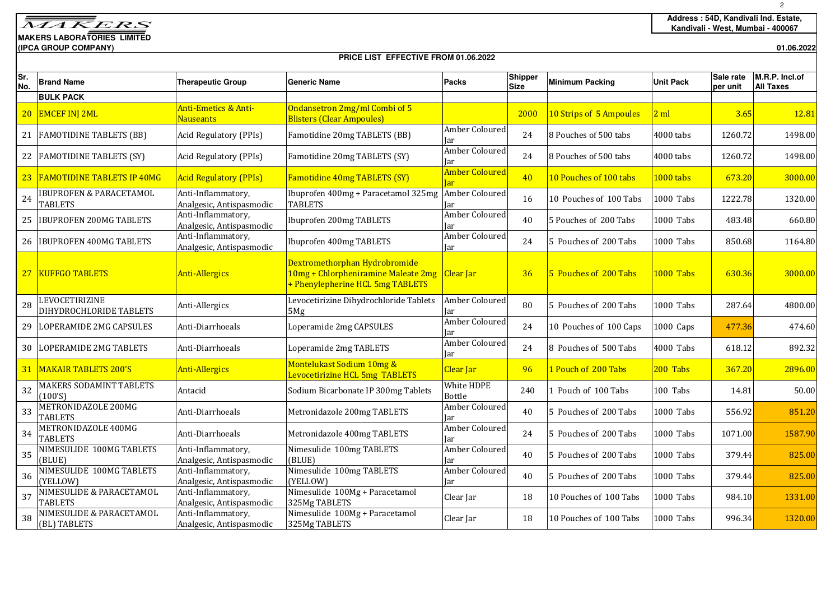**MAKERS LABORATORIES LIMITED**

**(IPCA GROUP COMPANY)01.06.2022**

## **PRICE LIST EFFECTIVE FROM 01.06.2022**

| Sr.<br>No.      | <b>Brand Name</b>                                    | <b>Therapeutic Group</b>                       | <b>Generic Name</b>                                                                                                  | Packs                               | Shipper<br><b>Size</b> | <b>Minimum Packing</b>  | <b>Unit Pack</b> | Sale rate<br>per unit | M.R.P. Incl.of<br><b>All Taxes</b> |
|-----------------|------------------------------------------------------|------------------------------------------------|----------------------------------------------------------------------------------------------------------------------|-------------------------------------|------------------------|-------------------------|------------------|-----------------------|------------------------------------|
|                 | <b>BULK PACK</b>                                     |                                                |                                                                                                                      |                                     |                        |                         |                  |                       |                                    |
|                 | 20 EMCEF INJ 2ML                                     | Anti-Emetics & Anti-<br>Nauseants              | Ondansetron 2mg/ml Combi of 5<br><b>Blisters (Clear Ampoules)</b>                                                    |                                     | 2000                   | 10 Strips of 5 Ampoules | 2 ml             | 3.65                  | 12.81                              |
|                 | 21 FAMOTIDINE TABLETS (BB)                           | Acid Regulatory (PPIs)                         | Famotidine 20mg TABLETS (BB)                                                                                         | <b>Amber Coloured</b><br>Jar        | 24                     | 8 Pouches of 500 tabs   | 4000 tabs        | 1260.72               | 1498.00                            |
|                 | 22 FAMOTIDINE TABLETS (SY)                           | Acid Regulatory (PPIs)                         | Famotidine 20mg TABLETS (SY)                                                                                         | Amber Coloured<br>Jar               | 24                     | 8 Pouches of 500 tabs   | 4000 tabs        | 1260.72               | 1498.00                            |
|                 | 23 FAMOTIDINE TABLETS IP 40MG                        | <b>Acid Regulatory (PPIs)</b>                  | Famotidine 40mg TABLETS (SY)                                                                                         | <b>Amber Coloured</b><br><b>Jar</b> | 40                     | 10 Pouches of 100 tabs  | 1000 tabs        | 673.20                | 3000.00                            |
| 24              | <b>IBUPROFEN &amp; PARACETAMOL</b><br><b>TABLETS</b> | Anti-Inflammatory,<br>Analgesic, Antispasmodic | Ibuprofen 400mg + Paracetamol 325mg<br><b>TABLETS</b>                                                                | Amber Coloured<br>Jar               | 16                     | 10 Pouches of 100 Tabs  | 1000 Tabs        | 1222.78               | 1320.00                            |
| 25              | <b>IBUPROFEN 200MG TABLETS</b>                       | Anti-Inflammatory,<br>Analgesic, Antispasmodic | Ibuprofen 200mg TABLETS                                                                                              | Amber Coloured<br>Jar               | 40                     | 5 Pouches of 200 Tabs   | 1000 Tabs        | 483.48                | 660.80                             |
|                 | 26 IBUPROFEN 400MG TABLETS                           | Anti-Inflammatory,<br>Analgesic, Antispasmodic | Ibuprofen 400mg TABLETS                                                                                              | Amber Coloured<br>Jar               | 24                     | 5 Pouches of 200 Tabs   | 1000 Tabs        | 850.68                | 1164.80                            |
|                 | 27   KUFFGO TABLETS                                  | <b>Anti-Allergics</b>                          | Dextromethorphan Hydrobromide<br>10mg + Chlorpheniramine Maleate 2mg   Clear Jar<br>+ Phenylepherine HCL 5mg TABLETS |                                     | 36                     | 5 Pouches of 200 Tabs   | 1000 Tabs        | 630.36                | 3000.00                            |
| 28              | LEVOCETIRIZINE<br>DIHYDROCHLORIDE TABLETS            | Anti-Allergics                                 | Levocetirizine Dihydrochloride Tablets<br>5Mg                                                                        | Amber Coloured<br>Jar               | 80                     | 5 Pouches of 200 Tabs   | 1000 Tabs        | 287.64                | 4800.00                            |
|                 | 29 LOPERAMIDE 2MG CAPSULES                           | Anti-Diarrhoeals                               | Loperamide 2mg CAPSULES                                                                                              | Amber Coloured<br>lar               | 24                     | 10 Pouches of 100 Caps  | 1000 Caps        | 477.36                | 474.60                             |
| 30 <sup>1</sup> | LOPERAMIDE 2MG TABLETS                               | Anti-Diarrhoeals                               | Loperamide 2mg TABLETS                                                                                               | <b>Amber Coloured</b><br>Iar        | 24                     | 8 Pouches of 500 Tabs   | 4000 Tabs        | 618.12                | 892.32                             |
|                 | <b>31 MAKAIR TABLETS 200'S</b>                       | <b>Anti-Allergics</b>                          | Montelukast Sodium 10mg &<br>Levocetirizine HCL 5mg TABLETS                                                          | Clear Jar                           | 96                     | 1 Pouch of 200 Tabs     | 200 Tabs         | 367.20                | 2896.00                            |
| 32              | MAKERS SODAMINT TABLETS<br>(100'S)                   | Antacid                                        | Sodium Bicarbonate IP 300mg Tablets                                                                                  | White HDPE<br>Bottle                | 240                    | 1 Pouch of 100 Tabs     | 100 Tabs         | 14.81                 | 50.00                              |
| 33              | METRONIDAZOLE 200MG<br><b>TABLETS</b>                | Anti-Diarrhoeals                               | Metronidazole 200mg TABLETS                                                                                          | Amber Coloured<br>Iar               | 40                     | 5 Pouches of 200 Tabs   | 1000 Tabs        | 556.92                | 851.20                             |
| 34              | METRONIDAZOLE 400MG<br><b>TABLETS</b>                | Anti-Diarrhoeals                               | Metronidazole 400mg TABLETS                                                                                          | Amber Coloured<br>Jar               | 24                     | 5 Pouches of 200 Tabs   | 1000 Tabs        | 1071.00               | 1587.90                            |
| 35              | NIMESULIDE 100MG TABLETS<br>(BLUE)                   | Anti-Inflammatory,<br>Analgesic, Antispasmodic | Nimesulide 100mg TABLETS<br>(BLUE)                                                                                   | Amber Coloured<br>Iar               | 40                     | 5 Pouches of 200 Tabs   | 1000 Tabs        | 379.44                | 825.00                             |
| 36              | NIMESULIDE 100MG TABLETS<br>(YELLOW)                 | Anti-Inflammatory,<br>Analgesic, Antispasmodic | Nimesulide 100mg TABLETS<br>(YELLOW)                                                                                 | Amber Coloured<br>Jar               | 40                     | 5 Pouches of 200 Tabs   | 1000 Tabs        | 379.44                | 825.00                             |
| 37              | NIMESULIDE & PARACETAMOL<br><b>TABLETS</b>           | Anti-Inflammatory,<br>Analgesic, Antispasmodic | Nimesulide 100Mg + Paracetamol<br>325Mg TABLETS                                                                      | Clear Jar                           | 18                     | 10 Pouches of 100 Tabs  | 1000 Tabs        | 984.10                | 1331.00                            |
| 38              | NIMESULIDE & PARACETAMOL<br>(BL) TABLETS             | Anti-Inflammatory,<br>Analgesic, Antispasmodic | Nimesulide 100Mg + Paracetamol<br>325Mg TABLETS                                                                      | Clear Jar                           | 18                     | 10 Pouches of 100 Tabs  | 1000 Tabs        | 996.34                | 1320.00                            |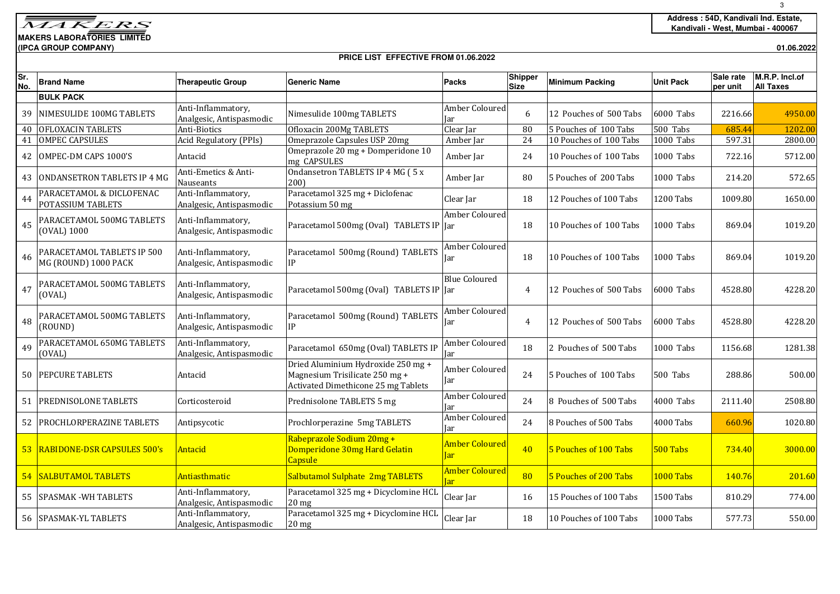## **MAKERS LABORATORIES LIMITED(IPCA GROUP COMPANY)**

## **PRICE LIST EFFECTIVE FROM 01.06.2022**

**01.06.2022**

| Sr.<br>No. | <b>Brand Name</b>                                  | <b>Therapeutic Group</b>                       | <b>Generic Name</b>                                                                                         | <b>Packs</b>                         | <b>Shipper</b><br><b>Size</b> | <b>Minimum Packing</b> | <b>Unit Pack</b> | Sale rate<br>per unit | M.R.P. Incl.of<br><b>All Taxes</b> |  |
|------------|----------------------------------------------------|------------------------------------------------|-------------------------------------------------------------------------------------------------------------|--------------------------------------|-------------------------------|------------------------|------------------|-----------------------|------------------------------------|--|
|            | <b>BULK PACK</b>                                   |                                                |                                                                                                             |                                      |                               |                        |                  |                       |                                    |  |
| 39         | NIMESULIDE 100MG TABLETS                           | Anti-Inflammatory,<br>Analgesic, Antispasmodic | Nimesulide 100mg TABLETS                                                                                    | Amber Coloured<br>Jar                | 6                             | 12 Pouches of 500 Tabs | 6000 Tabs        | 2216.66               | 4950.00                            |  |
| 40         | <b>OFLOXACIN TABLETS</b>                           | Anti-Biotics                                   | Ofloxacin 200Mg TABLETS                                                                                     | Clear Jar                            | 80                            | 5 Pouches of 100 Tabs  | 500 Tabs         | 685.44                | 1202.00                            |  |
| 41         | <b>OMPEC CAPSULES</b>                              | <b>Acid Regulatory (PPIs)</b>                  | Omeprazole Capsules USP 20mg                                                                                | Amber Jar                            | 24                            | 10 Pouches of 100 Tabs | 1000 Tabs        | 597.31                | 2800.00                            |  |
| 42         | OMPEC-DM CAPS 1000'S                               | Antacid                                        | Omeprazole 20 mg + Domperidone 10<br>mg CAPSULES                                                            | Amber Jar                            | 24                            | 10 Pouches of 100 Tabs | 1000 Tabs        | 722.16                | 5712.00                            |  |
| 43         | <b>ONDANSETRON TABLETS IP 4 MG</b>                 | Anti-Emetics & Anti-<br>Nauseants              | Ondansetron TABLETS IP 4 MG (5 x<br>200)                                                                    | Amber Jar                            | 80                            | 5 Pouches of 200 Tabs  | 1000 Tabs        | 214.20                | 572.65                             |  |
| 44         | PARACETAMOL & DICLOFENAC<br>POTASSIUM TABLETS      | Anti-Inflammatory,<br>Analgesic, Antispasmodic | Paracetamol 325 mg + Diclofenac<br>Potassium 50 mg                                                          | Clear Jar                            | 18                            | 12 Pouches of 100 Tabs | 1200 Tabs        | 1009.80               | 1650.00                            |  |
| 45         | PARACETAMOL 500MG TABLETS<br>(OVAL) 1000           | Anti-Inflammatory,<br>Analgesic, Antispasmodic | Paracetamol 500mg (Oval) TABLETS IP Jar                                                                     | Amber Coloured                       | 18                            | 10 Pouches of 100 Tabs | 1000 Tabs        | 869.04                | 1019.20                            |  |
| 46         | PARACETAMOL TABLETS IP 500<br>MG (ROUND) 1000 PACK | Anti-Inflammatory,<br>Analgesic, Antispasmodic | Paracetamol 500mg (Round) TABLETS<br>IP                                                                     | Amber Coloured<br>Jar                | 18                            | 10 Pouches of 100 Tabs | 1000 Tabs        | 869.04                | 1019.20                            |  |
| 47         | PARACETAMOL 500MG TABLETS<br>(OVAL)                | Anti-Inflammatory,<br>Analgesic, Antispasmodic | Paracetamol 500mg (Oval) TABLETS IP Jar                                                                     | <b>Blue Coloured</b>                 | 4                             | 12 Pouches of 500 Tabs | 6000 Tabs        | 4528.80               | 4228.20                            |  |
| 48         | PARACETAMOL 500MG TABLETS<br>(ROUND)               | Anti-Inflammatory,<br>Analgesic, Antispasmodic | Paracetamol 500mg (Round) TABLETS<br>IP                                                                     | Amber Coloured<br>Jar                | 4                             | 12 Pouches of 500 Tabs | 6000 Tabs        | 4528.80               | 4228.20                            |  |
| 49         | PARACETAMOL 650MG TABLETS<br>(OVAL)                | Anti-Inflammatory,<br>Analgesic, Antispasmodic | Paracetamol 650mg (Oval) TABLETS IF                                                                         | Amber Coloured<br>Jar                | 18                            | 2 Pouches of 500 Tabs  | 1000 Tabs        | 1156.68               | 1281.38                            |  |
| 50         | <b>PEPCURE TABLETS</b>                             | Antacid                                        | Dried Aluminium Hydroxide 250 mg +<br>Magnesium Trisilicate 250 mg +<br>Activated Dimethicone 25 mg Tablets | Amber Coloured<br>Jar                | 24                            | 5 Pouches of 100 Tabs  | 500 Tabs         | 288.86                | 500.00                             |  |
| 51         | <b>PREDNISOLONE TABLETS</b>                        | Corticosteroid                                 | Prednisolone TABLETS 5 mg                                                                                   | Amber Coloured<br>Jar                | 24                            | 8 Pouches of 500 Tabs  | 4000 Tabs        | 2111.40               | 2508.80                            |  |
| 52         | <b>PROCHLORPERAZINE TABLETS</b>                    | Antipsycotic                                   | Prochlorperazine 5mg TABLETS                                                                                | <b>Amber Coloured</b><br><b>I</b> ar | 24                            | 8 Pouches of 500 Tabs  | 4000 Tabs        | 660.96                | 1020.80                            |  |
| 53.        | <b>RABIDONE-DSR CAPSULES 500's</b>                 | Antacid                                        | Rabeprazole Sodium 20mg +<br>Domperidone 30mg Hard Gelatin<br><b>Capsule</b>                                | <b>Amber Coloured</b><br><b>lar</b>  | 40                            | 5 Pouches of 100 Tabs  | 500 Tabs         | 734.40                | 3000.00                            |  |
| 54         | <b>SALBUTAMOL TABLETS</b>                          | Antiasthmatic                                  | Salbutamol Sulphate 2mg TABLETS                                                                             | <b>Amber Coloured</b><br>lar         | 80                            | 5 Pouches of 200 Tabs  | <b>1000 Tabs</b> | 140.76                | 201.60                             |  |
| 55         | <b>SPASMAK-WH TABLETS</b>                          | Anti-Inflammatory,<br>Analgesic, Antispasmodic | Paracetamol 325 mg + Dicyclomine HCL<br>$20$ mg                                                             | Clear Jar                            | 16                            | 15 Pouches of 100 Tabs | 1500 Tabs        | 810.29                | 774.00                             |  |
|            | 56 SPASMAK-YL TABLETS                              | Anti-Inflammatory,<br>Analgesic, Antispasmodic | Paracetamol 325 mg + Dicyclomine HCL<br>$20$ mg                                                             | Clear Jar                            | 18                            | 10 Pouches of 100 Tabs | 1000 Tabs        | 577.73                | 550.00                             |  |